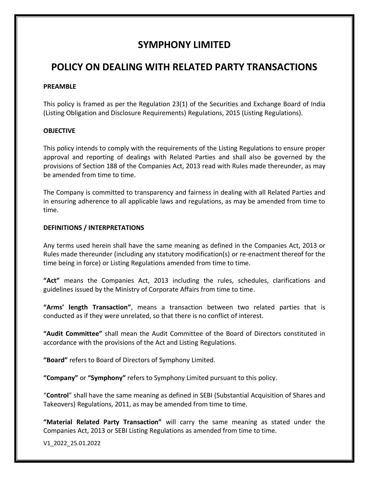## **SYMPHONY LIMITED**

# **POLICY ON DEALING WITH RELATED PARTY TRANSACTIONS**

### **PREAMBLE**

This policy is framed as per the Regulation 23(1) of the Securities and Exchange Board of India (Listing Obligation and Disclosure Requirements) Regulations, 2015 (Listing Regulations).

## **OBJECTIVE**

This policy intends to comply with the requirements of the Listing Regulations to ensure proper approval and reporting of dealings with Related Parties and shall also be governed by the provisions of Section 188 of the Companies Act, 2013 read with Rules made thereunder, as may be amended from time to time.

The Company is committed to transparency and fairness in dealing with all Related Parties and in ensuring adherence to all applicable laws and regulations, as may be amended from time to time.

### **DEFINITIONS / INTERPRETATIONS**

Any terms used herein shall have the same meaning as defined in the Companies Act, 2013 or Rules made thereunder (including any statutory modification(s) or re-enactment thereof for the time being in force) or Listing Regulations amended from time to time.

**"Act"** means the Companies Act, 2013 including the rules, schedules, clarifications and guidelines issued by the Ministry of Corporate Affairs from time to time.

**"Arms' length Transaction"**, means a transaction between two related parties that is conducted as if they were unrelated, so that there is no conflict of interest.

**"Audit Committee"** shall mean the Audit Committee of the Board of Directors constituted in accordance with the provisions of the Act and Listing Regulations.

**"Board"** refers to Board of Directors of Symphony Limited.

**"Company"** or **"Symphony"** refers to Symphony Limited pursuant to this policy.

"**Control**" shall have the same meaning as defined in SEBI (Substantial Acquisition of Shares and Takeovers) Regulations, 2011, as may be amended from time to time.

**"Material Related Party Transaction"** will carry the same meaning as stated under the Companies Act, 2013 or SEBI Listing Regulations as amended from time to time.

V1\_2022\_25.01.2022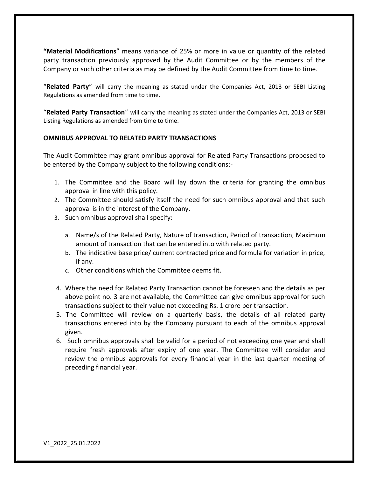**"Material Modifications**" means variance of 25% or more in value or quantity of the related party transaction previously approved by the Audit Committee or by the members of the Company or such other criteria as may be defined by the Audit Committee from time to time.

"**Related Party**" will carry the meaning as stated under the Companies Act, 2013 or SEBI Listing Regulations as amended from time to time.

"**Related Party Transaction**" will carry the meaning as stated under the Companies Act, 2013 or SEBI Listing Regulations as amended from time to time.

### **OMNIBUS APPROVAL TO RELATED PARTY TRANSACTIONS**

The Audit Committee may grant omnibus approval for Related Party Transactions proposed to be entered by the Company subject to the following conditions:-

- 1. The Committee and the Board will lay down the criteria for granting the omnibus approval in line with this policy.
- 2. The Committee should satisfy itself the need for such omnibus approval and that such approval is in the interest of the Company.
- 3. Such omnibus approval shall specify:
	- a. Name/s of the Related Party, Nature of transaction, Period of transaction, Maximum amount of transaction that can be entered into with related party.
	- b. The indicative base price/ current contracted price and formula for variation in price, if any.
	- c. Other conditions which the Committee deems fit.
- 4. Where the need for Related Party Transaction cannot be foreseen and the details as per above point no. 3 are not available, the Committee can give omnibus approval for such transactions subject to their value not exceeding Rs. 1 crore per transaction.
- 5. The Committee will review on a quarterly basis, the details of all related party transactions entered into by the Company pursuant to each of the omnibus approval given.
- 6. Such omnibus approvals shall be valid for a period of not exceeding one year and shall require fresh approvals after expiry of one year. The Committee will consider and review the omnibus approvals for every financial year in the last quarter meeting of preceding financial year.